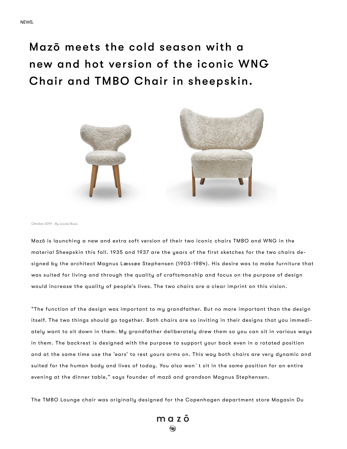Mazō meets the cold season with a new and hot version of the iconic WNG Chair and TMBO Chair in sheepskin.



*Oktober 2019 - By Louise Buus.*

Mazō is launching a new and extra soft version of their two iconic chairs TMBO and WNG in the material Sheepskin this fall. 1935 and 1937 are the years of the first sketches for the two chairs designed by the architect Magnus Læssøe Stephensen (1903-1984). His desire was to make furniture that was suited for living and through the quality of craftsmanship and focus on the purpose of design would increase the quality of people's lives. The two chairs are a clear imprint on this vision.

"The function of the design was important to my grandfather. But no more important than the design itself. The two things should go together. Both chairs are so inviting in their designs that you immediately want to sit down in them. My grandfather deliberately drew them so you can sit in various ways in them. The backrest is designed with the purpose to support your back even in a rotated position and at the same time use the 'ears' to rest yours arms on. This way both chairs are very dynamic and suited for the human body and lives of today. You also won´t sit in the same position for an entire evening at the dinner table," says founder of mazō and grandson Magnus Stephensen.

The TMBO Lounge chair was originally designed for the Copenhagen department store Magasin Du